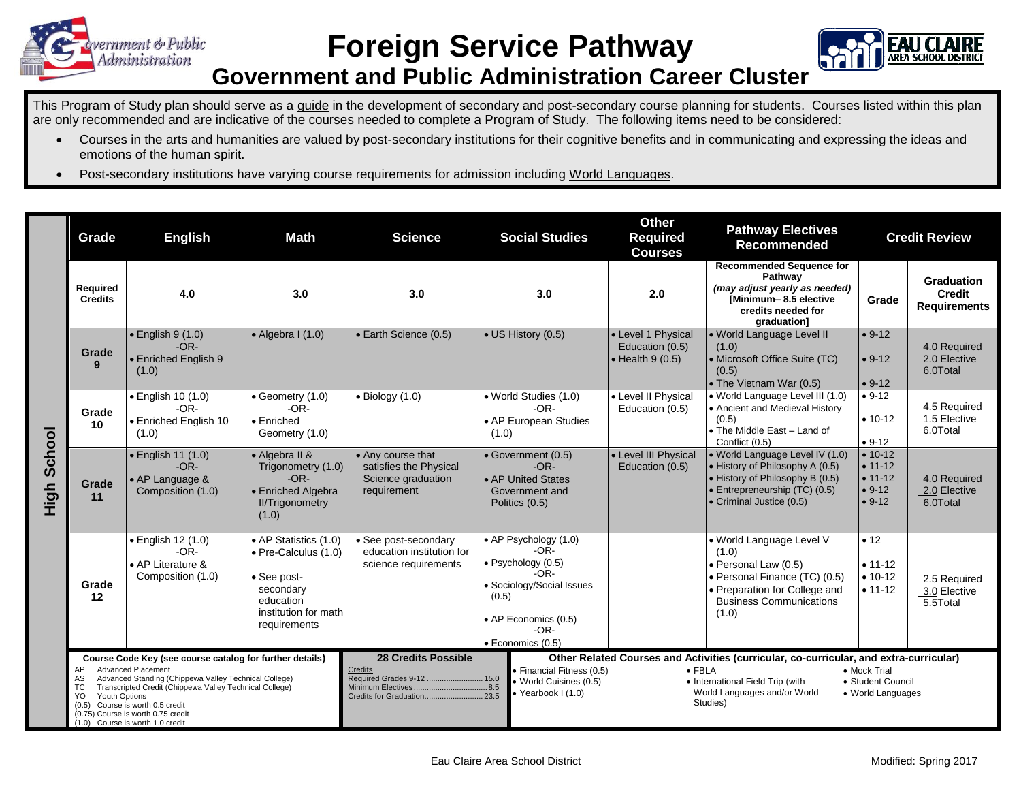

## **Foreign Service Pathway**



## **Government and Public Administration Career Cluster**

This Program of Study plan should serve as a guide in the development of secondary and post-secondary course planning for students. Courses listed within this plan are only recommended and are indicative of the courses needed to complete a Program of Study. The following items need to be considered:

- Courses in the arts and humanities are valued by post-secondary institutions for their cognitive benefits and in communicating and expressing the ideas and emotions of the human spirit.
- Post-secondary institutions have varying course requirements for admission including World Languages.

|                | Grade                                                                                                                                                                                                                                                                                                                                                                         | <b>English</b>                                                               | <b>Math</b>                                                                                                                    | <b>Science</b>                                                                                | <b>Social Studies</b>                                                                                                                                        | <b>Other</b><br><b>Pathway Electives</b><br><b>Required</b><br><b>Recommended</b><br><b>Courses</b> |                                                                                                                                                                        | <b>Credit Review</b>                                        |                                                    |
|----------------|-------------------------------------------------------------------------------------------------------------------------------------------------------------------------------------------------------------------------------------------------------------------------------------------------------------------------------------------------------------------------------|------------------------------------------------------------------------------|--------------------------------------------------------------------------------------------------------------------------------|-----------------------------------------------------------------------------------------------|--------------------------------------------------------------------------------------------------------------------------------------------------------------|-----------------------------------------------------------------------------------------------------|------------------------------------------------------------------------------------------------------------------------------------------------------------------------|-------------------------------------------------------------|----------------------------------------------------|
|                | Required<br><b>Credits</b>                                                                                                                                                                                                                                                                                                                                                    | 4.0                                                                          | 3.0                                                                                                                            | 3.0                                                                                           | 3.0                                                                                                                                                          | 2.0                                                                                                 | <b>Recommended Sequence for</b><br>Pathwav<br>(may adjust yearly as needed)<br><b>IMinimum-8.5 elective</b><br>credits needed for<br>graduation]                       | Grade                                                       | Graduation<br><b>Credit</b><br><b>Requirements</b> |
| School<br>High | Grade<br>9                                                                                                                                                                                                                                                                                                                                                                    | $\bullet$ English 9 (1.0)<br>$-OR-$<br>• Enriched English 9<br>(1.0)         | $\bullet$ Algebra I (1.0)                                                                                                      | • Earth Science (0.5)                                                                         | • US History (0.5)                                                                                                                                           | • Level 1 Physical<br>Education (0.5)<br>$\bullet$ Health 9 (0.5)                                   | · World Language Level II<br>(1.0)<br>• Microsoft Office Suite (TC)<br>(0.5)<br>• The Vietnam War (0.5)                                                                | $• 9-12$<br>$• 9-12$<br>$• 9-12$                            | 4.0 Required<br>2.0 Elective<br>6.0Total           |
|                | Grade<br>10                                                                                                                                                                                                                                                                                                                                                                   | $\bullet$ English 10 (1.0)<br>$-OR-$<br>• Enriched English 10<br>(1.0)       | $\bullet$ Geometry (1.0)<br>$-OR-$<br>$\bullet$ Enriched<br>Geometry (1.0)                                                     | $\bullet$ Biology (1.0)                                                                       | • World Studies (1.0)<br>$-OR-$<br>• AP European Studies<br>(1.0)                                                                                            | • Level II Physical<br>Education (0.5)                                                              | · World Language Level III (1.0)<br>• Ancient and Medieval History<br>(0.5)<br>• The Middle East - Land of<br>Conflict (0.5)                                           | $• 9-12$<br>$• 10-12$<br>$• 9-12$                           | 4.5 Required<br>1.5 Elective<br>6.0Total           |
|                | Grade<br>11                                                                                                                                                                                                                                                                                                                                                                   | $\bullet$ English 11 (1.0)<br>$-OR-$<br>• AP Language &<br>Composition (1.0) | • Algebra II &<br>Trigonometry (1.0)<br>$-OR-$<br>• Enriched Algebra<br><b>II/Trigonometry</b><br>(1.0)                        | • Any course that<br>satisfies the Physical<br>Science graduation<br>requirement              | • Government (0.5)<br>$-OR-$<br>• AP United States<br>Government and<br>Politics (0.5)                                                                       | • Level III Physical<br>Education (0.5)                                                             | • World Language Level IV (1.0)<br>• History of Philosophy A (0.5)<br>• History of Philosophy B (0.5)<br>• Entrepreneurship (TC) (0.5)<br>• Criminal Justice (0.5)     | $• 10-12$<br>$• 11-12$<br>$• 11-12$<br>$• 9-12$<br>$• 9-12$ | 4.0 Required<br>2.0 Elective<br>6.0Total           |
|                | Grade<br>12                                                                                                                                                                                                                                                                                                                                                                   | • English 12 (1.0)<br>$-OR-$<br>• AP Literature &<br>Composition (1.0)       | • AP Statistics (1.0)<br>• Pre-Calculus (1.0)<br>• See post-<br>secondary<br>education<br>institution for math<br>requirements | • See post-secondary<br>education institution for<br>science requirements                     | • AP Psychology (1.0)<br>$-OR-$<br>· Psychology (0.5)<br>$-OR-$<br>· Sociology/Social Issues<br>(0.5)<br>• AP Economics (0.5)<br>$-OR-$<br>· Economics (0.5) |                                                                                                     | · World Language Level V<br>(1.0)<br>• Personal Law (0.5)<br>· Personal Finance (TC) (0.5)<br>• Preparation for College and<br><b>Business Communications</b><br>(1.0) | • 12<br>$• 11 - 12$<br>$• 10-12$<br>$• 11 - 12$             | 2.5 Required<br>3.0 Elective<br>5.5Total           |
|                | Course Code Key (see course catalog for further details)<br><b>Advanced Placement</b><br>AP<br>Advanced Standing (Chippewa Valley Technical College)<br>AS.<br>Transcripted Credit (Chippewa Valley Technical College)<br>TC.<br><b>Youth Options</b><br>YO.<br>Course is worth 0.5 credit<br>(0.5)<br>(0.75) Course is worth 0.75 credit<br>(1.0) Course is worth 1.0 credit |                                                                              |                                                                                                                                | <b>28 Credits Possible</b><br>Credits<br>Required Grades 9-12  15.0<br>Credits for Graduation | · Financial Fitness (0.5)<br>· World Cuisines (0.5)<br>· Yearbook I (1.0)<br>23.5                                                                            | $\bullet$ FBLA                                                                                      | Other Related Courses and Activities (curricular, co-curricular, and extra-curricular)<br>• International Field Trip (with<br>World Languages and/or World<br>Studies) | • Mock Trial<br>• Student Council<br>• World Languages      |                                                    |